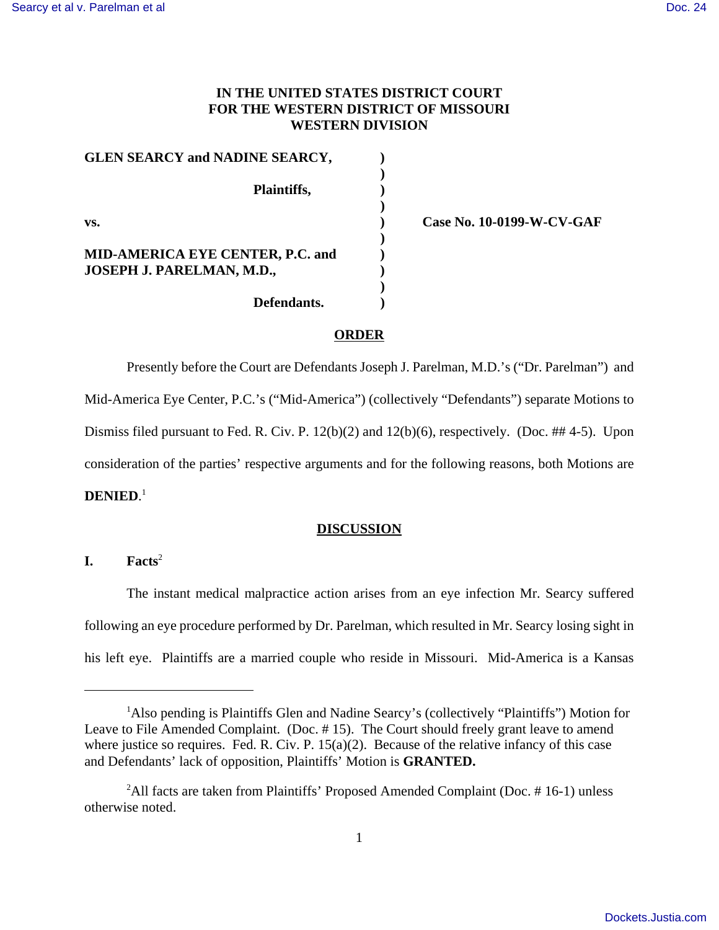# **IN THE UNITED STATES DISTRICT COURT FOR THE WESTERN DISTRICT OF MISSOURI WESTERN DIVISION**

**)**

**)**

**)**

**)**

GLEN SEARCY and NADINE SEARCY, **Plaintiffs, ) vs. ) Case No. 10-0199-W-CV-GAF MID-AMERICA EYE CENTER, P.C. and ) JOSEPH J. PARELMAN, M.D., ) Defendants. )**

## **ORDER**

Presently before the Court are Defendants Joseph J. Parelman, M.D.'s ("Dr. Parelman") and Mid-America Eye Center, P.C.'s ("Mid-America") (collectively "Defendants") separate Motions to Dismiss filed pursuant to Fed. R. Civ. P.  $12(b)(2)$  and  $12(b)(6)$ , respectively. (Doc. ##4-5). Upon consideration of the parties' respective arguments and for the following reasons, both Motions are **DENIED**. 1

### **DISCUSSION**

# **I. Facts**<sup>2</sup>

The instant medical malpractice action arises from an eye infection Mr. Searcy suffered following an eye procedure performed by Dr. Parelman, which resulted in Mr. Searcy losing sight in his left eye. Plaintiffs are a married couple who reside in Missouri. Mid-America is a Kansas

<sup>&</sup>lt;sup>1</sup>Also pending is Plaintiffs Glen and Nadine Searcy's (collectively "Plaintiffs") Motion for Leave to File Amended Complaint. (Doc. #15). The Court should freely grant leave to amend where justice so requires. Fed. R. Civ. P. 15(a)(2). Because of the relative infancy of this case and Defendants' lack of opposition, Plaintiffs' Motion is **GRANTED.**

<sup>&</sup>lt;sup>2</sup>All facts are taken from Plaintiffs' Proposed Amended Complaint (Doc.  $\#$  16-1) unless otherwise noted.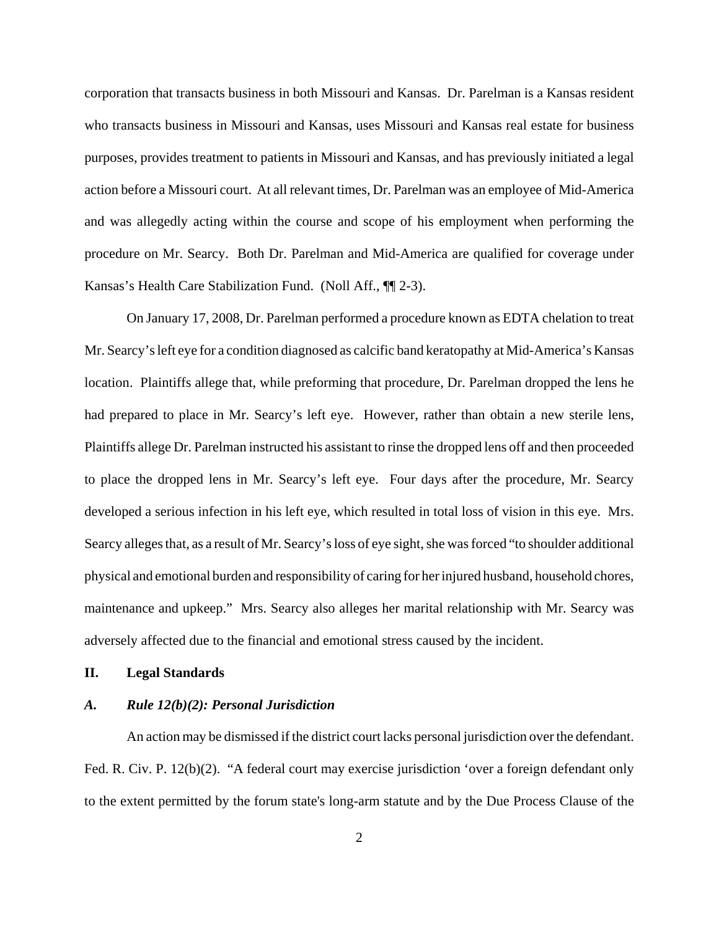corporation that transacts business in both Missouri and Kansas. Dr. Parelman is a Kansas resident who transacts business in Missouri and Kansas, uses Missouri and Kansas real estate for business purposes, provides treatment to patients in Missouri and Kansas, and has previously initiated a legal action before a Missouri court. At all relevant times, Dr. Parelman was an employee of Mid-America and was allegedly acting within the course and scope of his employment when performing the procedure on Mr. Searcy. Both Dr. Parelman and Mid-America are qualified for coverage under Kansas's Health Care Stabilization Fund. (Noll Aff., ¶¶ 2-3).

On January 17, 2008, Dr. Parelman performed a procedure known as EDTA chelation to treat Mr. Searcy's left eye for a condition diagnosed as calcific band keratopathy at Mid-America's Kansas location. Plaintiffs allege that, while preforming that procedure, Dr. Parelman dropped the lens he had prepared to place in Mr. Searcy's left eye. However, rather than obtain a new sterile lens, Plaintiffs allege Dr. Parelman instructed his assistant to rinse the dropped lens off and then proceeded to place the dropped lens in Mr. Searcy's left eye. Four days after the procedure, Mr. Searcy developed a serious infection in his left eye, which resulted in total loss of vision in this eye. Mrs. Searcy alleges that, as a result of Mr. Searcy's loss of eye sight, she was forced "to shoulder additional physical and emotional burden and responsibility of caring for her injured husband, household chores, maintenance and upkeep." Mrs. Searcy also alleges her marital relationship with Mr. Searcy was adversely affected due to the financial and emotional stress caused by the incident.

### **II. Legal Standards**

# *A. Rule 12(b)(2): Personal Jurisdiction*

An action may be dismissed if the district court lacks personal jurisdiction over the defendant. Fed. R. Civ. P. 12(b)(2). "A federal court may exercise jurisdiction 'over a foreign defendant only to the extent permitted by the forum state's long-arm statute and by the Due Process Clause of the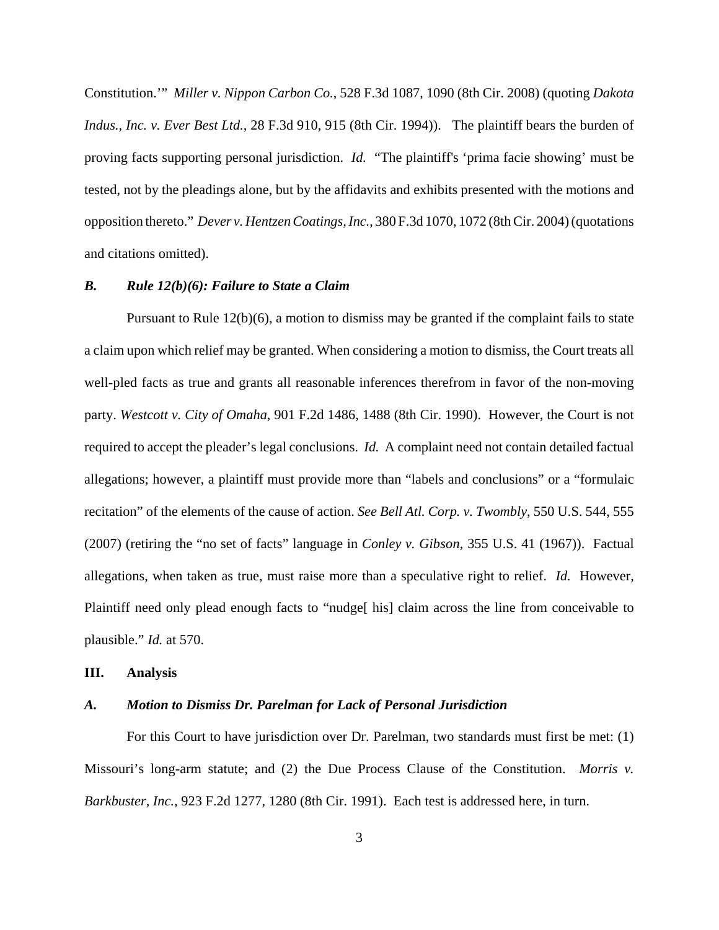Constitution.'" *Miller v. Nippon Carbon Co.*, 528 F.3d 1087, 1090 (8th Cir. 2008) (quoting *Dakota Indus., Inc. v. Ever Best Ltd.*, 28 F.3d 910, 915 (8th Cir. 1994)). The plaintiff bears the burden of proving facts supporting personal jurisdiction. *Id.* "The plaintiff's 'prima facie showing' must be tested, not by the pleadings alone, but by the affidavits and exhibits presented with the motions and opposition thereto." *Dever v. Hentzen Coatings, Inc.*, 380 F.3d 1070, 1072 (8th Cir. 2004) (quotations and citations omitted).

## *B. Rule 12(b)(6): Failure to State a Claim*

Pursuant to Rule 12(b)(6), a motion to dismiss may be granted if the complaint fails to state a claim upon which relief may be granted. When considering a motion to dismiss, the Court treats all well-pled facts as true and grants all reasonable inferences therefrom in favor of the non-moving party. *Westcott v. City of Omaha*, 901 F.2d 1486, 1488 (8th Cir. 1990). However, the Court is not required to accept the pleader's legal conclusions. *Id.* A complaint need not contain detailed factual allegations; however, a plaintiff must provide more than "labels and conclusions" or a "formulaic recitation" of the elements of the cause of action. *See Bell Atl. Corp. v. Twombly*, 550 U.S. 544, 555 (2007) (retiring the "no set of facts" language in *Conley v. Gibson*, 355 U.S. 41 (1967)). Factual allegations, when taken as true, must raise more than a speculative right to relief. *Id.* However, Plaintiff need only plead enough facts to "nudge[ his] claim across the line from conceivable to plausible." *Id.* at 570.

#### **III. Analysis**

# *A. Motion to Dismiss Dr. Parelman for Lack of Personal Jurisdiction*

For this Court to have jurisdiction over Dr. Parelman, two standards must first be met: (1) Missouri's long-arm statute; and (2) the Due Process Clause of the Constitution. *Morris v. Barkbuster, Inc.*, 923 F.2d 1277, 1280 (8th Cir. 1991). Each test is addressed here, in turn.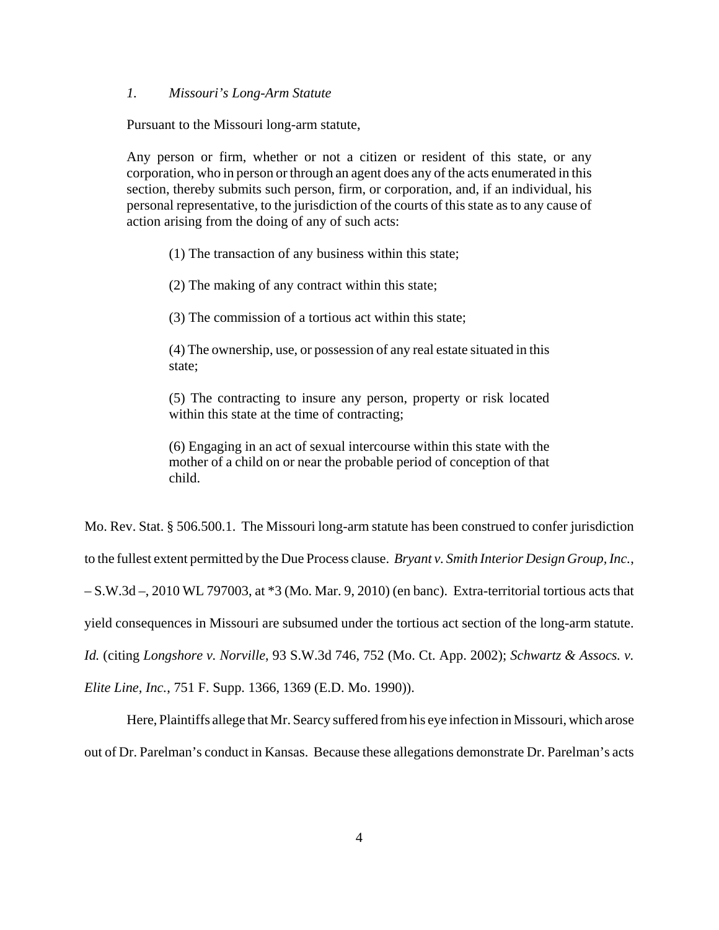## *1. Missouri's Long-Arm Statute*

Pursuant to the Missouri long-arm statute,

Any person or firm, whether or not a citizen or resident of this state, or any corporation, who in person or through an agent does any of the acts enumerated in this section, thereby submits such person, firm, or corporation, and, if an individual, his personal representative, to the jurisdiction of the courts of this state as to any cause of action arising from the doing of any of such acts:

(1) The transaction of any business within this state;

(2) The making of any contract within this state;

(3) The commission of a tortious act within this state;

(4) The ownership, use, or possession of any real estate situated in this state;

(5) The contracting to insure any person, property or risk located within this state at the time of contracting;

(6) Engaging in an act of sexual intercourse within this state with the mother of a child on or near the probable period of conception of that child.

Mo. Rev. Stat. § 506.500.1. The Missouri long-arm statute has been construed to confer jurisdiction to the fullest extent permitted by the Due Process clause. *Bryant v. Smith Interior Design Group, Inc.*, – S.W.3d –, 2010 WL 797003, at \*3 (Mo. Mar. 9, 2010) (en banc). Extra-territorial tortious acts that yield consequences in Missouri are subsumed under the tortious act section of the long-arm statute. *Id.* (citing *Longshore v. Norville*, 93 S.W.3d 746, 752 (Mo. Ct. App. 2002); *Schwartz & Assocs. v.*

*Elite Line, Inc.*, 751 F. Supp. 1366, 1369 (E.D. Mo. 1990)).

Here, Plaintiffs allege that Mr. Searcy suffered from his eye infection in Missouri, which arose out of Dr. Parelman's conduct in Kansas. Because these allegations demonstrate Dr. Parelman's acts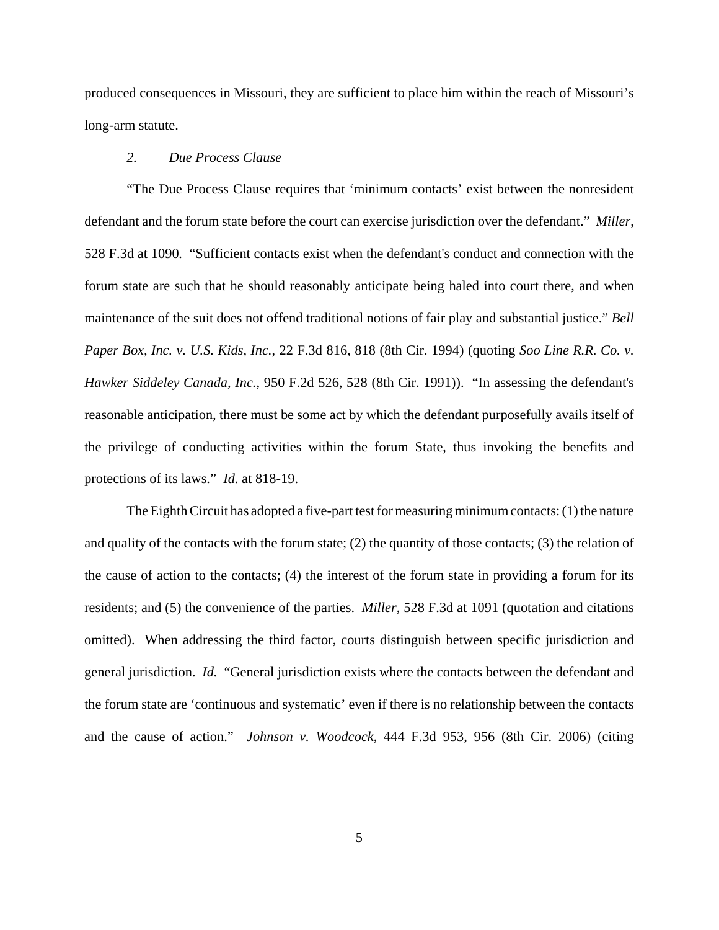produced consequences in Missouri, they are sufficient to place him within the reach of Missouri's long-arm statute.

# *2. Due Process Clause*

"The Due Process Clause requires that 'minimum contacts' exist between the nonresident defendant and the forum state before the court can exercise jurisdiction over the defendant." *Miller*, 528 F.3d at 1090*.* "Sufficient contacts exist when the defendant's conduct and connection with the forum state are such that he should reasonably anticipate being haled into court there, and when maintenance of the suit does not offend traditional notions of fair play and substantial justice." *Bell Paper Box, Inc. v. U.S. Kids, Inc.*, 22 F.3d 816, 818 (8th Cir. 1994) (quoting *Soo Line R.R. Co. v. Hawker Siddeley Canada, Inc.*, 950 F.2d 526, 528 (8th Cir. 1991)). "In assessing the defendant's reasonable anticipation, there must be some act by which the defendant purposefully avails itself of the privilege of conducting activities within the forum State, thus invoking the benefits and protections of its laws." *Id.* at 818-19.

The Eighth Circuit has adopted a five-part test for measuring minimum contacts: (1) the nature and quality of the contacts with the forum state; (2) the quantity of those contacts; (3) the relation of the cause of action to the contacts; (4) the interest of the forum state in providing a forum for its residents; and (5) the convenience of the parties. *Miller*, 528 F.3d at 1091 (quotation and citations omitted). When addressing the third factor, courts distinguish between specific jurisdiction and general jurisdiction. *Id.* "General jurisdiction exists where the contacts between the defendant and the forum state are 'continuous and systematic' even if there is no relationship between the contacts and the cause of action." *Johnson v. Woodcock*, 444 F.3d 953, 956 (8th Cir. 2006) (citing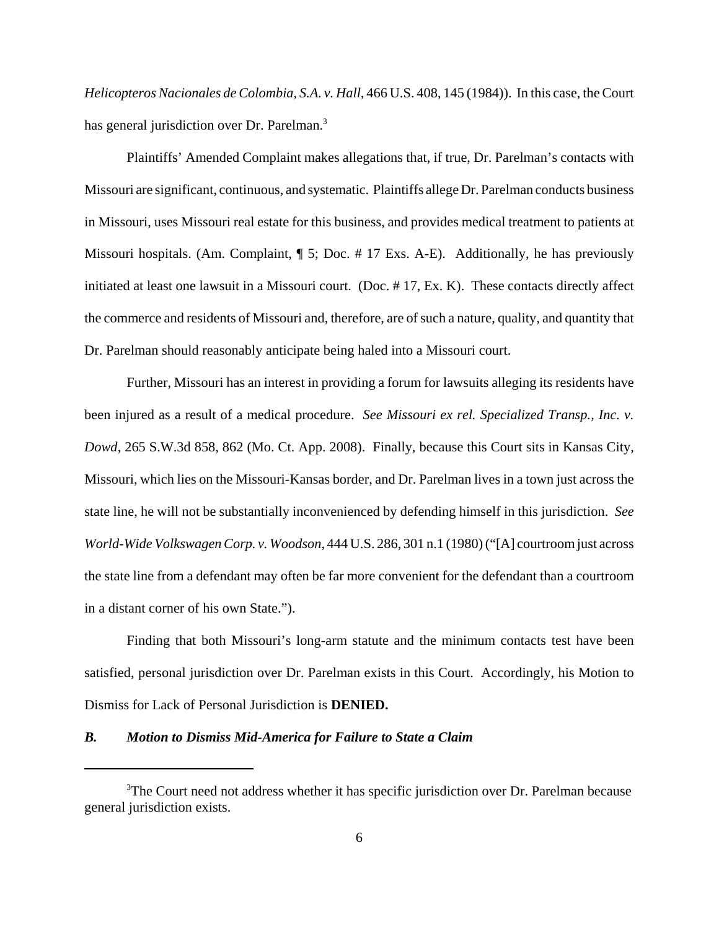*Helicopteros Nacionales de Colombia, S.A. v. Hall*, 466 U.S. 408, 145 (1984)). In this case, the Court has general jurisdiction over Dr. Parelman.<sup>3</sup>

Plaintiffs' Amended Complaint makes allegations that, if true, Dr. Parelman's contacts with Missouri are significant, continuous, and systematic. Plaintiffs allege Dr. Parelman conducts business in Missouri, uses Missouri real estate for this business, and provides medical treatment to patients at Missouri hospitals. (Am. Complaint,  $\P$  5; Doc.  $\#$  17 Exs. A-E). Additionally, he has previously initiated at least one lawsuit in a Missouri court. (Doc. # 17, Ex. K). These contacts directly affect the commerce and residents of Missouri and, therefore, are of such a nature, quality, and quantity that Dr. Parelman should reasonably anticipate being haled into a Missouri court.

Further, Missouri has an interest in providing a forum for lawsuits alleging its residents have been injured as a result of a medical procedure. *See Missouri ex rel. Specialized Transp., Inc. v. Dowd*, 265 S.W.3d 858, 862 (Mo. Ct. App. 2008). Finally, because this Court sits in Kansas City, Missouri, which lies on the Missouri-Kansas border, and Dr. Parelman lives in a town just across the state line, he will not be substantially inconvenienced by defending himself in this jurisdiction. *See World-Wide Volkswagen Corp. v. Woodson*, 444 U.S. 286, 301 n.1 (1980) ("[A] courtroom just across the state line from a defendant may often be far more convenient for the defendant than a courtroom in a distant corner of his own State.").

Finding that both Missouri's long-arm statute and the minimum contacts test have been satisfied, personal jurisdiction over Dr. Parelman exists in this Court. Accordingly, his Motion to Dismiss for Lack of Personal Jurisdiction is **DENIED.**

### *B. Motion to Dismiss Mid-America for Failure to State a Claim*

<sup>&</sup>lt;sup>3</sup>The Court need not address whether it has specific jurisdiction over Dr. Parelman because general jurisdiction exists.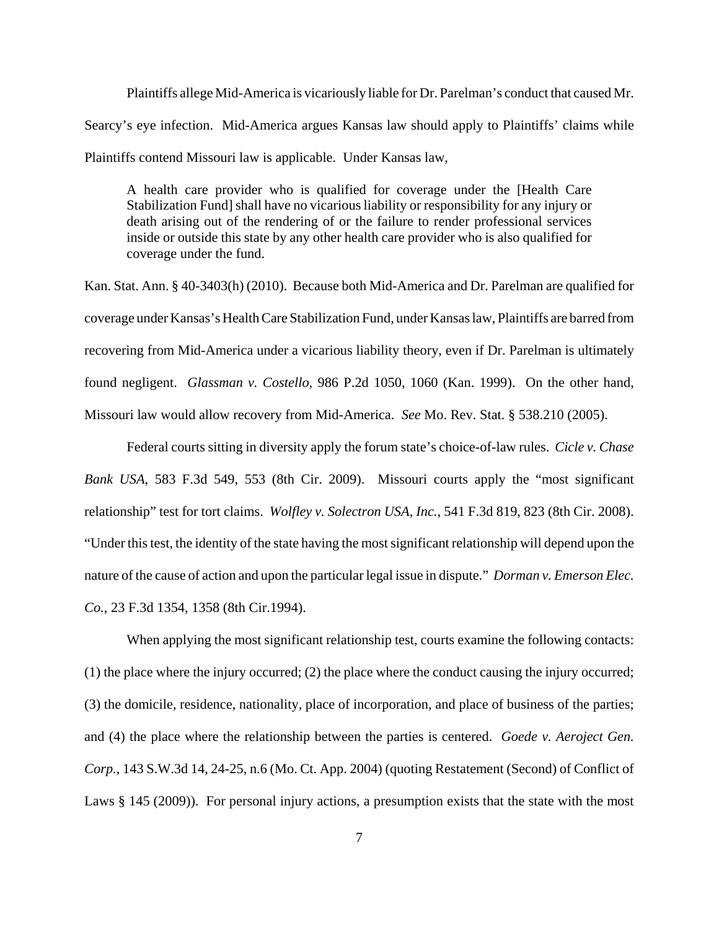Plaintiffs allege Mid-America is vicariously liable for Dr. Parelman's conduct that caused Mr. Searcy's eye infection. Mid-America argues Kansas law should apply to Plaintiffs' claims while Plaintiffs contend Missouri law is applicable. Under Kansas law,

A health care provider who is qualified for coverage under the [Health Care Stabilization Fund] shall have no vicarious liability or responsibility for any injury or death arising out of the rendering of or the failure to render professional services inside or outside this state by any other health care provider who is also qualified for coverage under the fund.

Kan. Stat. Ann. § 40-3403(h) (2010). Because both Mid-America and Dr. Parelman are qualified for coverage under Kansas's Health Care Stabilization Fund, under Kansas law, Plaintiffs are barred from recovering from Mid-America under a vicarious liability theory, even if Dr. Parelman is ultimately found negligent. *Glassman v. Costello*, 986 P.2d 1050, 1060 (Kan. 1999). On the other hand, Missouri law would allow recovery from Mid-America. *See* Mo. Rev. Stat. § 538.210 (2005).

Federal courts sitting in diversity apply the forum state's choice-of-law rules. *Cicle v. Chase Bank USA*, 583 F.3d 549, 553 (8th Cir. 2009). Missouri courts apply the "most significant relationship" test for tort claims. *Wolfley v. Solectron USA, Inc.*, 541 F.3d 819, 823 (8th Cir. 2008). "Under this test, the identity of the state having the most significant relationship will depend upon the nature of the cause of action and upon the particular legal issue in dispute." *Dorman v. Emerson Elec. Co.*, 23 F.3d 1354, 1358 (8th Cir.1994).

When applying the most significant relationship test, courts examine the following contacts: (1) the place where the injury occurred; (2) the place where the conduct causing the injury occurred; (3) the domicile, residence, nationality, place of incorporation, and place of business of the parties; and (4) the place where the relationship between the parties is centered. *Goede v. Aeroject Gen. Corp.*, 143 S.W.3d 14, 24-25, n.6 (Mo. Ct. App. 2004) (quoting Restatement (Second) of Conflict of Laws § 145 (2009)). For personal injury actions, a presumption exists that the state with the most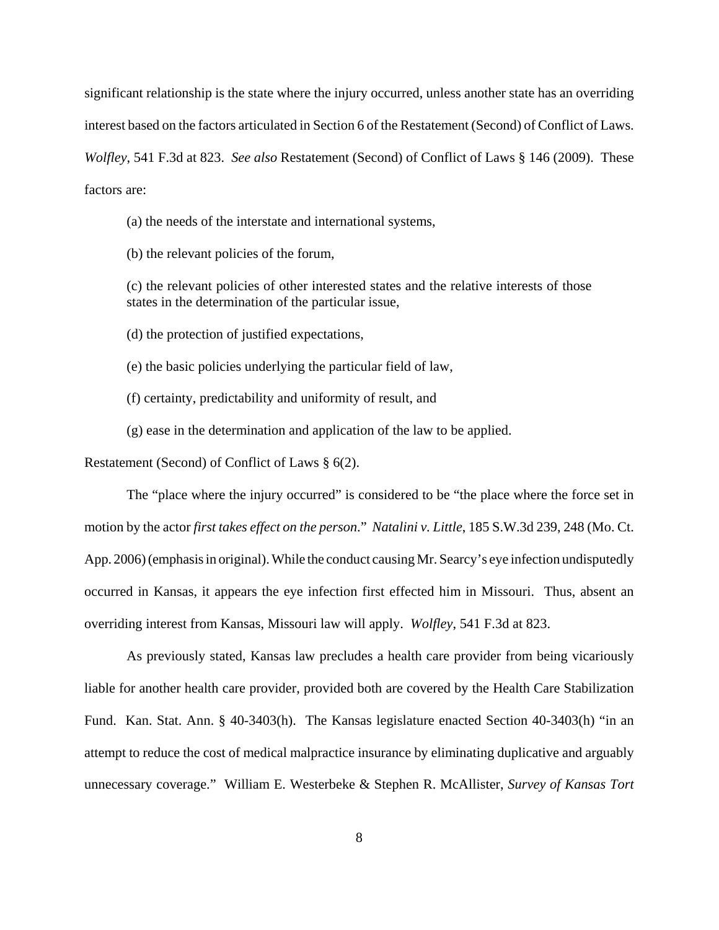significant relationship is the state where the injury occurred, unless another state has an overriding interest based on the factors articulated in Section 6 of the Restatement (Second) of Conflict of Laws. *Wolfley*, 541 F.3d at 823. *See also* Restatement (Second) of Conflict of Laws § 146 (2009). These factors are:

(a) the needs of the interstate and international systems,

(b) the relevant policies of the forum,

(c) the relevant policies of other interested states and the relative interests of those states in the determination of the particular issue,

(d) the protection of justified expectations,

(e) the basic policies underlying the particular field of law,

(f) certainty, predictability and uniformity of result, and

(g) ease in the determination and application of the law to be applied.

Restatement (Second) of Conflict of Laws § 6(2).

The "place where the injury occurred" is considered to be "the place where the force set in motion by the actor *first takes effect on the person*." *Natalini v. Little*, 185 S.W.3d 239, 248 (Mo. Ct. App. 2006) (emphasis in original). While the conduct causing Mr. Searcy's eye infection undisputedly occurred in Kansas, it appears the eye infection first effected him in Missouri. Thus, absent an overriding interest from Kansas, Missouri law will apply. *Wolfley*, 541 F.3d at 823.

As previously stated, Kansas law precludes a health care provider from being vicariously liable for another health care provider, provided both are covered by the Health Care Stabilization Fund. Kan. Stat. Ann. § 40-3403(h). The Kansas legislature enacted Section 40-3403(h) "in an attempt to reduce the cost of medical malpractice insurance by eliminating duplicative and arguably unnecessary coverage." William E. Westerbeke & Stephen R. McAllister, *Survey of Kansas Tort*